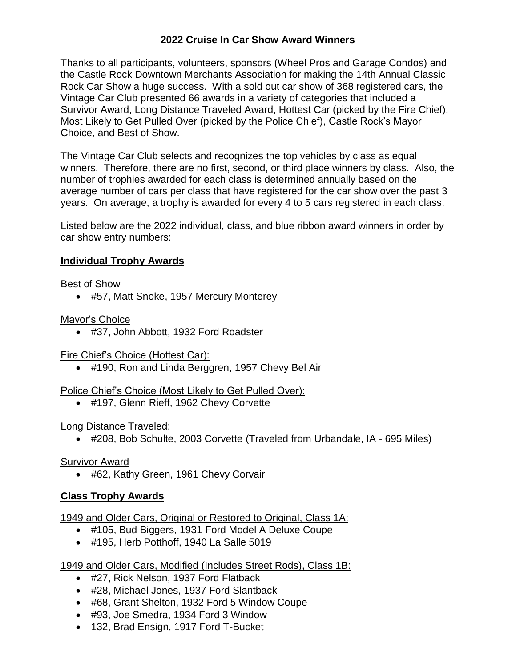### **2022 Cruise In Car Show Award Winners**

Thanks to all participants, volunteers, sponsors (Wheel Pros and Garage Condos) and the Castle Rock Downtown Merchants Association for making the 14th Annual Classic Rock Car Show a huge success. With a sold out car show of 368 registered cars, the Vintage Car Club presented 66 awards in a variety of categories that included a Survivor Award, Long Distance Traveled Award, Hottest Car (picked by the Fire Chief), Most Likely to Get Pulled Over (picked by the Police Chief), Castle Rock's Mayor Choice, and Best of Show.

The Vintage Car Club selects and recognizes the top vehicles by class as equal winners. Therefore, there are no first, second, or third place winners by class. Also, the number of trophies awarded for each class is determined annually based on the average number of cars per class that have registered for the car show over the past 3 years. On average, a trophy is awarded for every 4 to 5 cars registered in each class.

Listed below are the 2022 individual, class, and blue ribbon award winners in order by car show entry numbers:

### **Individual Trophy Awards**

### Best of Show

#57, Matt Snoke, 1957 Mercury Monterey

Mayor's Choice

#37, John Abbott, 1932 Ford Roadster

### Fire Chief's Choice (Hottest Car):

● #190, Ron and Linda Berggren, 1957 Chevy Bel Air

### Police Chief's Choice (Most Likely to Get Pulled Over):

#197, Glenn Rieff, 1962 Chevy Corvette

### Long Distance Traveled:

#208, Bob Schulte, 2003 Corvette (Traveled from Urbandale, IA - 695 Miles)

### Survivor Award

#62, Kathy Green, 1961 Chevy Corvair

### **Class Trophy Awards**

1949 and Older Cars, Original or Restored to Original, Class 1A:

- #105, Bud Biggers, 1931 Ford Model A Deluxe Coupe
- #195, Herb Potthoff, 1940 La Salle 5019

## 1949 and Older Cars, Modified (Includes Street Rods), Class 1B:

- #27, Rick Nelson, 1937 Ford Flatback
- #28, Michael Jones, 1937 Ford Slantback
- #68, Grant Shelton, 1932 Ford 5 Window Coupe
- #93, Joe Smedra, 1934 Ford 3 Window
- 132, Brad Ensign, 1917 Ford T-Bucket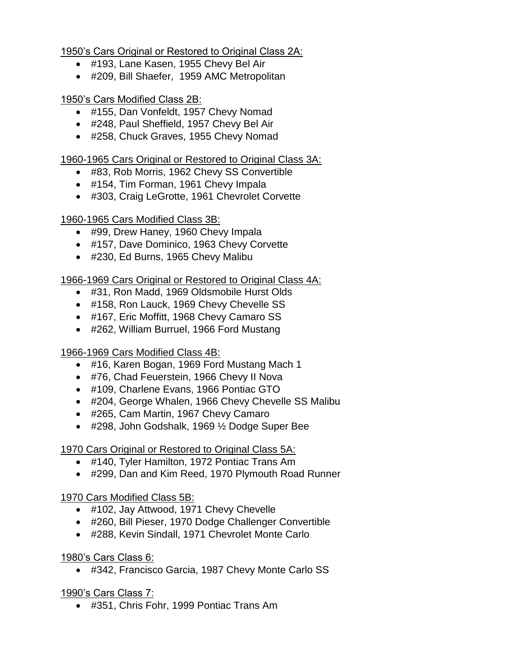1950's Cars Original or Restored to Original Class 2A:

- #193, Lane Kasen, 1955 Chevy Bel Air
- #209, Bill Shaefer, 1959 AMC Metropolitan

1950's Cars Modified Class 2B:

- #155, Dan Vonfeldt, 1957 Chevy Nomad
- #248, Paul Sheffield, 1957 Chevy Bel Air
- #258, Chuck Graves, 1955 Chevy Nomad

1960-1965 Cars Original or Restored to Original Class 3A:

- #83, Rob Morris, 1962 Chevy SS Convertible
- #154, Tim Forman, 1961 Chevy Impala
- #303, Craig LeGrotte, 1961 Chevrolet Corvette

1960-1965 Cars Modified Class 3B:

- #99, Drew Haney, 1960 Chevy Impala
- #157, Dave Dominico, 1963 Chevy Corvette
- #230, Ed Burns, 1965 Chevy Malibu

1966-1969 Cars Original or Restored to Original Class 4A:

- #31, Ron Madd, 1969 Oldsmobile Hurst Olds
- #158, Ron Lauck, 1969 Chevy Chevelle SS
- #167, Eric Moffitt, 1968 Chevy Camaro SS
- #262, William Burruel, 1966 Ford Mustang

1966-1969 Cars Modified Class 4B:

- #16, Karen Bogan, 1969 Ford Mustang Mach 1
- #76, Chad Feuerstein, 1966 Chevy II Nova
- #109, Charlene Evans, 1966 Pontiac GTO
- #204, George Whalen, 1966 Chevy Chevelle SS Malibu
- #265, Cam Martin, 1967 Chevy Camaro
- #298, John Godshalk, 1969 ½ Dodge Super Bee

1970 Cars Original or Restored to Original Class 5A:

- #140, Tyler Hamilton, 1972 Pontiac Trans Am
- #299, Dan and Kim Reed, 1970 Plymouth Road Runner

1970 Cars Modified Class 5B:

- #102, Jay Attwood, 1971 Chevy Chevelle
- #260, Bill Pieser, 1970 Dodge Challenger Convertible
- #288, Kevin Sindall, 1971 Chevrolet Monte Carlo

1980's Cars Class 6:

#342, Francisco Garcia, 1987 Chevy Monte Carlo SS

1990's Cars Class 7:

#351, Chris Fohr, 1999 Pontiac Trans Am